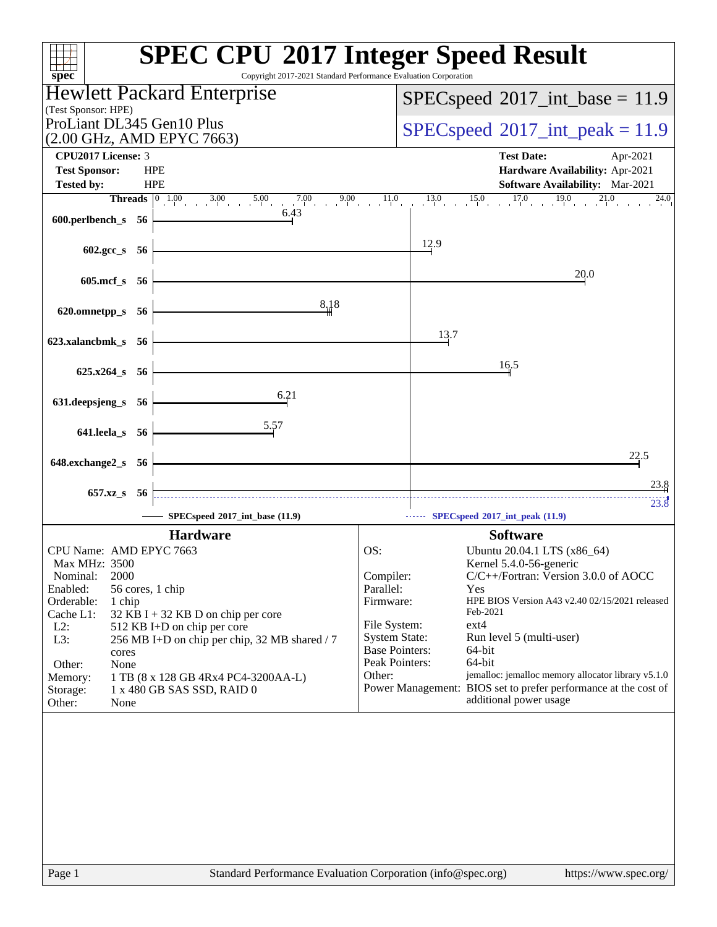| spec <sup>®</sup>                                                                                                                                                                                                                                                                                                                                                                                                 | <b>SPEC CPU®2017 Integer Speed Result</b><br>Copyright 2017-2021 Standard Performance Evaluation Corporation                                                                                                                                                                                                                                                                                                                                                                                                              |
|-------------------------------------------------------------------------------------------------------------------------------------------------------------------------------------------------------------------------------------------------------------------------------------------------------------------------------------------------------------------------------------------------------------------|---------------------------------------------------------------------------------------------------------------------------------------------------------------------------------------------------------------------------------------------------------------------------------------------------------------------------------------------------------------------------------------------------------------------------------------------------------------------------------------------------------------------------|
| Hewlett Packard Enterprise                                                                                                                                                                                                                                                                                                                                                                                        | $SPEC speed^{\circ}2017\_int\_base = 11.9$                                                                                                                                                                                                                                                                                                                                                                                                                                                                                |
| (Test Sponsor: HPE)                                                                                                                                                                                                                                                                                                                                                                                               |                                                                                                                                                                                                                                                                                                                                                                                                                                                                                                                           |
| ProLiant DL345 Gen10 Plus<br>(2.00 GHz, AMD EPYC 7663)                                                                                                                                                                                                                                                                                                                                                            | $SPEC speed^{\circ}2017\_int\_peak = 11.9$                                                                                                                                                                                                                                                                                                                                                                                                                                                                                |
| CPU2017 License: 3                                                                                                                                                                                                                                                                                                                                                                                                | <b>Test Date:</b><br>Apr-2021                                                                                                                                                                                                                                                                                                                                                                                                                                                                                             |
| <b>Test Sponsor:</b><br><b>HPE</b>                                                                                                                                                                                                                                                                                                                                                                                | Hardware Availability: Apr-2021                                                                                                                                                                                                                                                                                                                                                                                                                                                                                           |
| <b>HPE</b><br><b>Tested by:</b>                                                                                                                                                                                                                                                                                                                                                                                   | Software Availability: Mar-2021                                                                                                                                                                                                                                                                                                                                                                                                                                                                                           |
| <b>Threads</b> $\begin{bmatrix} 0 & 1.00 \end{bmatrix}$<br>7.00<br>9.00<br>$3.00$ $5.00$                                                                                                                                                                                                                                                                                                                          | 17.0<br>11.0<br>$15.0$ $17.$<br>19.0<br>13.0<br>24.0                                                                                                                                                                                                                                                                                                                                                                                                                                                                      |
| 6.43<br>600.perlbench_s 56                                                                                                                                                                                                                                                                                                                                                                                        |                                                                                                                                                                                                                                                                                                                                                                                                                                                                                                                           |
| 602.gcc_s 56                                                                                                                                                                                                                                                                                                                                                                                                      | 12.9                                                                                                                                                                                                                                                                                                                                                                                                                                                                                                                      |
|                                                                                                                                                                                                                                                                                                                                                                                                                   |                                                                                                                                                                                                                                                                                                                                                                                                                                                                                                                           |
| 605.mcf_s 56                                                                                                                                                                                                                                                                                                                                                                                                      | 20.0                                                                                                                                                                                                                                                                                                                                                                                                                                                                                                                      |
| 8,18<br>620.omnetpp_s<br>- 56                                                                                                                                                                                                                                                                                                                                                                                     |                                                                                                                                                                                                                                                                                                                                                                                                                                                                                                                           |
|                                                                                                                                                                                                                                                                                                                                                                                                                   | 13.7                                                                                                                                                                                                                                                                                                                                                                                                                                                                                                                      |
| 623.xalancbmk_s 56                                                                                                                                                                                                                                                                                                                                                                                                |                                                                                                                                                                                                                                                                                                                                                                                                                                                                                                                           |
| 625.x264_s 56                                                                                                                                                                                                                                                                                                                                                                                                     | 16.5                                                                                                                                                                                                                                                                                                                                                                                                                                                                                                                      |
| 6.21<br>631.deepsjeng_s 56                                                                                                                                                                                                                                                                                                                                                                                        |                                                                                                                                                                                                                                                                                                                                                                                                                                                                                                                           |
| 5.57<br>641.leela_s 56                                                                                                                                                                                                                                                                                                                                                                                            |                                                                                                                                                                                                                                                                                                                                                                                                                                                                                                                           |
|                                                                                                                                                                                                                                                                                                                                                                                                                   | 22.5                                                                                                                                                                                                                                                                                                                                                                                                                                                                                                                      |
| 648.exchange2_s<br>- 56                                                                                                                                                                                                                                                                                                                                                                                           | 23.8                                                                                                                                                                                                                                                                                                                                                                                                                                                                                                                      |
| 657.xz_s<br>-56                                                                                                                                                                                                                                                                                                                                                                                                   | $23.\overline{8}$                                                                                                                                                                                                                                                                                                                                                                                                                                                                                                         |
| SPECspeed®2017_int_base (11.9)                                                                                                                                                                                                                                                                                                                                                                                    | $SPECspeed*2017$ _int_peak $(11.9)$                                                                                                                                                                                                                                                                                                                                                                                                                                                                                       |
| <b>Hardware</b>                                                                                                                                                                                                                                                                                                                                                                                                   | <b>Software</b>                                                                                                                                                                                                                                                                                                                                                                                                                                                                                                           |
| CPU Name: AMD EPYC 7663<br>Max MHz: 3500<br>2000<br>Nominal:<br>Enabled:<br>56 cores, 1 chip<br>Orderable:<br>1 chip<br>Cache L1:<br>32 KB I + 32 KB D on chip per core<br>$L2$ :<br>512 KB I+D on chip per core<br>256 MB I+D on chip per chip, 32 MB shared / 7<br>L3:<br>cores<br>Other:<br>None<br>1 TB (8 x 128 GB 4Rx4 PC4-3200AA-L)<br>Memory:<br>1 x 480 GB SAS SSD, RAID 0<br>Storage:<br>Other:<br>None | OS:<br>Ubuntu 20.04.1 LTS (x86_64)<br>Kernel 5.4.0-56-generic<br>C/C++/Fortran: Version 3.0.0 of AOCC<br>Compiler:<br>Parallel:<br>Yes<br>Firmware:<br>HPE BIOS Version A43 v2.40 02/15/2021 released<br>Feb-2021<br>File System:<br>ext4<br><b>System State:</b><br>Run level 5 (multi-user)<br><b>Base Pointers:</b><br>64-bit<br>Peak Pointers:<br>64-bit<br>jemalloc: jemalloc memory allocator library v5.1.0<br>Other:<br>Power Management: BIOS set to prefer performance at the cost of<br>additional power usage |
| Page 1                                                                                                                                                                                                                                                                                                                                                                                                            | Standard Performance Evaluation Corporation (info@spec.org)<br>https://www.spec.org/                                                                                                                                                                                                                                                                                                                                                                                                                                      |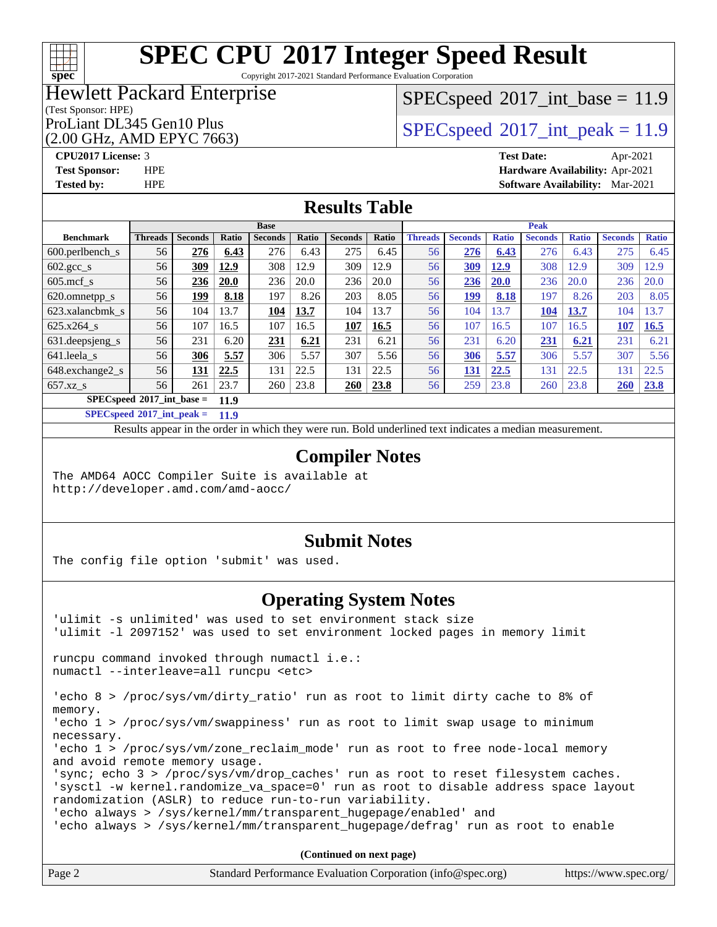# **[spec](http://www.spec.org/)**

# **[SPEC CPU](http://www.spec.org/auto/cpu2017/Docs/result-fields.html#SPECCPU2017IntegerSpeedResult)[2017 Integer Speed Result](http://www.spec.org/auto/cpu2017/Docs/result-fields.html#SPECCPU2017IntegerSpeedResult)**

Copyright 2017-2021 Standard Performance Evaluation Corporation

## Hewlett Packard Enterprise

#### (Test Sponsor: HPE)

(2.00 GHz, AMD EPYC 7663)

 $SPECspeed^{\circledcirc}2017\_int\_base = 11.9$  $SPECspeed^{\circledcirc}2017\_int\_base = 11.9$ 

ProLiant DL345 Gen10 Plus  $SPECspeed@2017$  $SPECspeed@2017$ \_int\_peak = 11.9

**[CPU2017 License:](http://www.spec.org/auto/cpu2017/Docs/result-fields.html#CPU2017License)** 3 **[Test Date:](http://www.spec.org/auto/cpu2017/Docs/result-fields.html#TestDate)** Apr-2021 **[Test Sponsor:](http://www.spec.org/auto/cpu2017/Docs/result-fields.html#TestSponsor)** HPE **[Hardware Availability:](http://www.spec.org/auto/cpu2017/Docs/result-fields.html#HardwareAvailability)** Apr-2021 **[Tested by:](http://www.spec.org/auto/cpu2017/Docs/result-fields.html#Testedby)** HPE **[Software Availability:](http://www.spec.org/auto/cpu2017/Docs/result-fields.html#SoftwareAvailability)** Mar-2021

### **[Results Table](http://www.spec.org/auto/cpu2017/Docs/result-fields.html#ResultsTable)**

|                                     |                |                |             | <b>Base</b>    |       |                |       |                |                |              | <b>Peak</b>    |              |                |              |
|-------------------------------------|----------------|----------------|-------------|----------------|-------|----------------|-------|----------------|----------------|--------------|----------------|--------------|----------------|--------------|
| <b>Benchmark</b>                    | <b>Threads</b> | <b>Seconds</b> | Ratio       | <b>Seconds</b> | Ratio | <b>Seconds</b> | Ratio | <b>Threads</b> | <b>Seconds</b> | <b>Ratio</b> | <b>Seconds</b> | <b>Ratio</b> | <b>Seconds</b> | <b>Ratio</b> |
| $600.$ perlbench $\mathsf{S}$       | 56             | 276            | 6.43        | 276            | 6.43  | 275            | 6.45  | 56             | 276            | 6.43         | 276            | 6.43         | 275            | 6.45         |
| $602.\text{gcc}\_\text{s}$          | 56             | 309            | 12.9        | 308            | 12.9  | 309            | 12.9  | 56             | 309            | 12.9         | 308            | 12.9         | 309            | 12.9         |
| $605$ .mcf s                        | 56             | 236            | <b>20.0</b> | 236            | 20.0  | 236            | 20.0  | 56             | 236            | 20.0         | 236            | 20.0         | 236            | 20.0         |
| 620.omnetpp_s                       | 56             | 199            | 8.18        | 197            | 8.26  | 203            | 8.05  | 56             | 199            | 8.18         | 197            | 8.26         | 203            | 8.05         |
| 623.xalancbmk s                     | 56             | 104            | 13.7        | 104            | 13.7  | 104            | 13.7  | 56             | 104            | 13.7         | 104            | 13.7         | 104            | 13.7         |
| 625.x264 s                          | 56             | 107            | 16.5        | 107            | 16.5  | 107            | 16.5  | 56             | 107            | 16.5         | 107            | 16.5         | 107            | 16.5         |
| 631.deepsjeng_s                     | 56             | 231            | 6.20        | 231            | 6.21  | 231            | 6.21  | 56             | 231            | 6.20         | 231            | 6.21         | 231            | 6.21         |
| 641.leela s                         | 56             | 306            | 5.57        | 306            | 5.57  | 307            | 5.56  | 56             | 306            | 5.57         | 306            | 5.57         | 307            | 5.56         |
| 648.exchange2_s                     | 56             | 131            | 22.5        | 131            | 22.5  | 131            | 22.5  | 56             | 131            | 22.5         | 131            | 22.5         | 131            | 22.5         |
| $657.xz$ s                          | 56             | 261            | 23.7        | 260            | 23.8  | 260            | 23.8  | 56             | 259            | 23.8         | 260            | 23.8         | <b>260</b>     | 23.8         |
| $SPECspeed*2017$ int base =<br>11.9 |                |                |             |                |       |                |       |                |                |              |                |              |                |              |

**[SPECspeed](http://www.spec.org/auto/cpu2017/Docs/result-fields.html#SPECspeed2017intpeak)[2017\\_int\\_peak =](http://www.spec.org/auto/cpu2017/Docs/result-fields.html#SPECspeed2017intpeak) 11.9**

Results appear in the [order in which they were run.](http://www.spec.org/auto/cpu2017/Docs/result-fields.html#RunOrder) Bold underlined text [indicates a median measurement](http://www.spec.org/auto/cpu2017/Docs/result-fields.html#Median).

### **[Compiler Notes](http://www.spec.org/auto/cpu2017/Docs/result-fields.html#CompilerNotes)**

The AMD64 AOCC Compiler Suite is available at <http://developer.amd.com/amd-aocc/>

#### **[Submit Notes](http://www.spec.org/auto/cpu2017/Docs/result-fields.html#SubmitNotes)**

The config file option 'submit' was used.

#### **[Operating System Notes](http://www.spec.org/auto/cpu2017/Docs/result-fields.html#OperatingSystemNotes)**

'ulimit -s unlimited' was used to set environment stack size 'ulimit -l 2097152' was used to set environment locked pages in memory limit runcpu command invoked through numactl i.e.: numactl --interleave=all runcpu <etc> 'echo 8 > /proc/sys/vm/dirty\_ratio' run as root to limit dirty cache to 8% of memory. 'echo 1 > /proc/sys/vm/swappiness' run as root to limit swap usage to minimum necessary. 'echo 1 > /proc/sys/vm/zone\_reclaim\_mode' run as root to free node-local memory and avoid remote memory usage. 'sync; echo 3 > /proc/sys/vm/drop\_caches' run as root to reset filesystem caches. 'sysctl -w kernel.randomize va space=0' run as root to disable address space layout randomization (ASLR) to reduce run-to-run variability. 'echo always > /sys/kernel/mm/transparent\_hugepage/enabled' and 'echo always > /sys/kernel/mm/transparent\_hugepage/defrag' run as root to enable **(Continued on next page)**

| Page 2 | Standard Performance Evaluation Corporation (info@spec.org) | https://www.spec.org/ |
|--------|-------------------------------------------------------------|-----------------------|
|--------|-------------------------------------------------------------|-----------------------|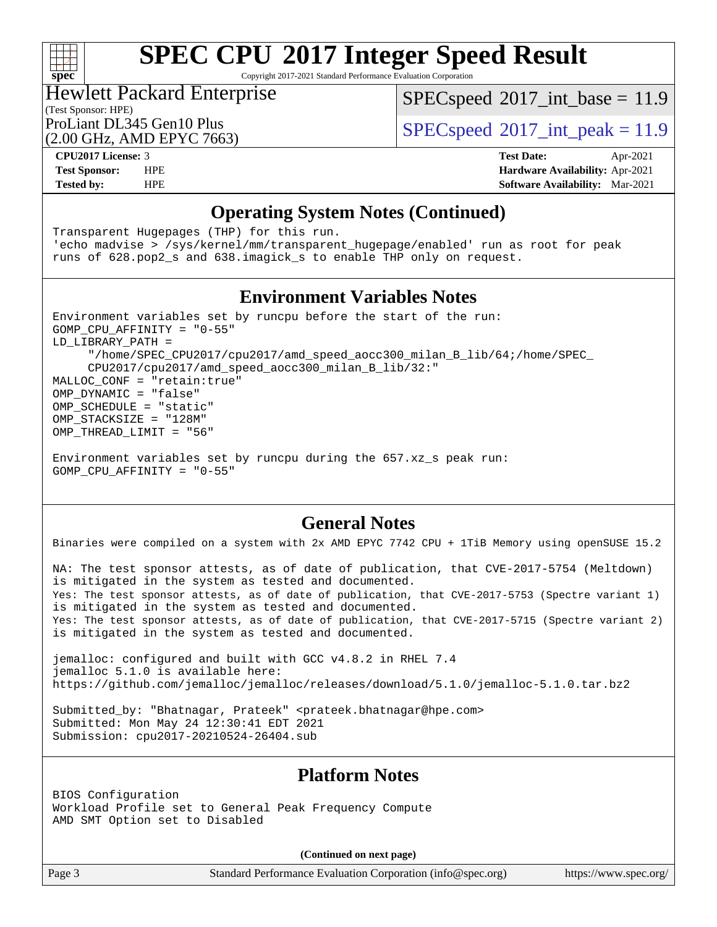

Copyright 2017-2021 Standard Performance Evaluation Corporation

## Hewlett Packard Enterprise

 $SPECspeed^{\circ}2017\_int\_base = 11.9$  $SPECspeed^{\circ}2017\_int\_base = 11.9$ 

### (Test Sponsor: HPE)

(2.00 GHz, AMD EPYC 7663)

ProLiant DL345 Gen10 Plus  $SPECspeed@2017$  $SPECspeed@2017$ \_int\_peak = 11.9

**[CPU2017 License:](http://www.spec.org/auto/cpu2017/Docs/result-fields.html#CPU2017License)** 3 **[Test Date:](http://www.spec.org/auto/cpu2017/Docs/result-fields.html#TestDate)** Apr-2021 **[Test Sponsor:](http://www.spec.org/auto/cpu2017/Docs/result-fields.html#TestSponsor)** HPE **[Hardware Availability:](http://www.spec.org/auto/cpu2017/Docs/result-fields.html#HardwareAvailability)** Apr-2021 **[Tested by:](http://www.spec.org/auto/cpu2017/Docs/result-fields.html#Testedby)** HPE **[Software Availability:](http://www.spec.org/auto/cpu2017/Docs/result-fields.html#SoftwareAvailability)** Mar-2021

### **[Operating System Notes \(Continued\)](http://www.spec.org/auto/cpu2017/Docs/result-fields.html#OperatingSystemNotes)**

Transparent Hugepages (THP) for this run. 'echo madvise > /sys/kernel/mm/transparent\_hugepage/enabled' run as root for peak runs of 628.pop2\_s and 638.imagick\_s to enable THP only on request.

#### **[Environment Variables Notes](http://www.spec.org/auto/cpu2017/Docs/result-fields.html#EnvironmentVariablesNotes)**

Environment variables set by runcpu before the start of the run: GOMP\_CPU\_AFFINITY = "0-55" LD\_LIBRARY\_PATH = "/home/SPEC\_CPU2017/cpu2017/amd\_speed\_aocc300\_milan\_B\_lib/64;/home/SPEC\_ CPU2017/cpu2017/amd\_speed\_aocc300\_milan\_B\_lib/32:" MALLOC\_CONF = "retain:true" OMP\_DYNAMIC = "false" OMP\_SCHEDULE = "static" OMP\_STACKSIZE = "128M" OMP THREAD LIMIT = "56"

Environment variables set by runcpu during the 657.xz\_s peak run: GOMP\_CPU\_AFFINITY = "0-55"

#### **[General Notes](http://www.spec.org/auto/cpu2017/Docs/result-fields.html#GeneralNotes)**

Binaries were compiled on a system with 2x AMD EPYC 7742 CPU + 1TiB Memory using openSUSE 15.2

NA: The test sponsor attests, as of date of publication, that CVE-2017-5754 (Meltdown) is mitigated in the system as tested and documented. Yes: The test sponsor attests, as of date of publication, that CVE-2017-5753 (Spectre variant 1) is mitigated in the system as tested and documented. Yes: The test sponsor attests, as of date of publication, that CVE-2017-5715 (Spectre variant 2) is mitigated in the system as tested and documented.

jemalloc: configured and built with GCC v4.8.2 in RHEL 7.4 jemalloc 5.1.0 is available here: <https://github.com/jemalloc/jemalloc/releases/download/5.1.0/jemalloc-5.1.0.tar.bz2>

Submitted\_by: "Bhatnagar, Prateek" <prateek.bhatnagar@hpe.com> Submitted: Mon May 24 12:30:41 EDT 2021 Submission: cpu2017-20210524-26404.sub

#### **[Platform Notes](http://www.spec.org/auto/cpu2017/Docs/result-fields.html#PlatformNotes)**

BIOS Configuration Workload Profile set to General Peak Frequency Compute AMD SMT Option set to Disabled

**(Continued on next page)**

Page 3 Standard Performance Evaluation Corporation [\(info@spec.org\)](mailto:info@spec.org) <https://www.spec.org/>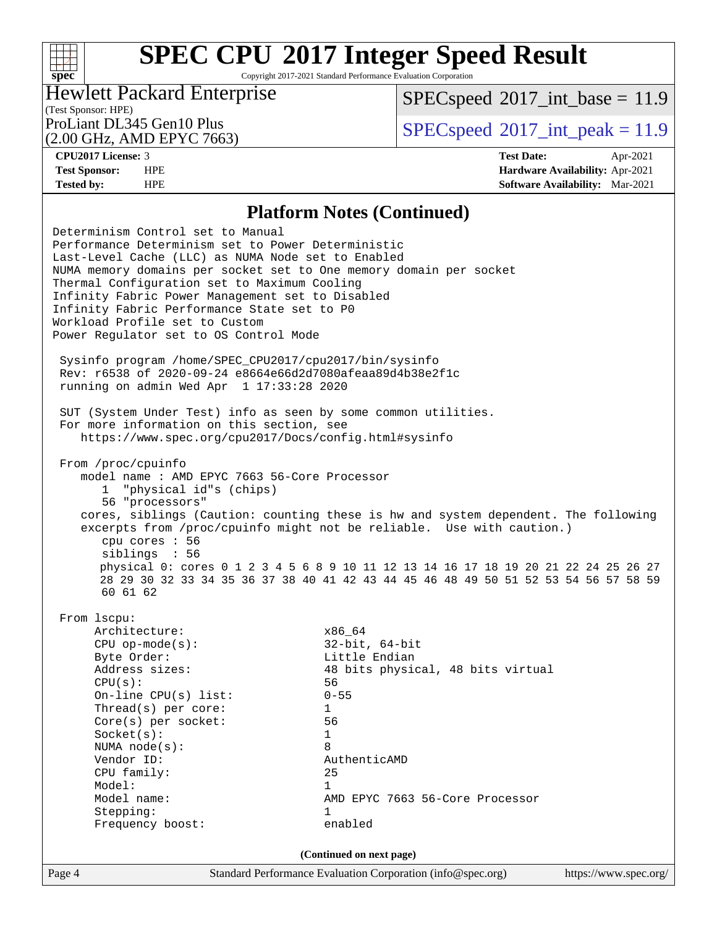Copyright 2017-2021 Standard Performance Evaluation Corporation

## Hewlett Packard Enterprise

 $SPECspeed^{\circ}2017\_int\_base = 11.9$  $SPECspeed^{\circ}2017\_int\_base = 11.9$ 

(Test Sponsor: HPE) (2.00 GHz, AMD EPYC 7663)

ProLiant DL345 Gen10 Plus  $SPECspeed@2017$  $SPECspeed@2017$ \_int\_peak = 11.9

**[spec](http://www.spec.org/)**

 $+\ +$ 

**[CPU2017 License:](http://www.spec.org/auto/cpu2017/Docs/result-fields.html#CPU2017License)** 3 **[Test Date:](http://www.spec.org/auto/cpu2017/Docs/result-fields.html#TestDate)** Apr-2021 **[Test Sponsor:](http://www.spec.org/auto/cpu2017/Docs/result-fields.html#TestSponsor)** HPE **[Hardware Availability:](http://www.spec.org/auto/cpu2017/Docs/result-fields.html#HardwareAvailability)** Apr-2021 **[Tested by:](http://www.spec.org/auto/cpu2017/Docs/result-fields.html#Testedby)** HPE **[Software Availability:](http://www.spec.org/auto/cpu2017/Docs/result-fields.html#SoftwareAvailability)** Mar-2021

#### **[Platform Notes \(Continued\)](http://www.spec.org/auto/cpu2017/Docs/result-fields.html#PlatformNotes)**

Page 4 Standard Performance Evaluation Corporation [\(info@spec.org\)](mailto:info@spec.org) <https://www.spec.org/> Determinism Control set to Manual Performance Determinism set to Power Deterministic Last-Level Cache (LLC) as NUMA Node set to Enabled NUMA memory domains per socket set to One memory domain per socket Thermal Configuration set to Maximum Cooling Infinity Fabric Power Management set to Disabled Infinity Fabric Performance State set to P0 Workload Profile set to Custom Power Regulator set to OS Control Mode Sysinfo program /home/SPEC\_CPU2017/cpu2017/bin/sysinfo Rev: r6538 of 2020-09-24 e8664e66d2d7080afeaa89d4b38e2f1c running on admin Wed Apr 1 17:33:28 2020 SUT (System Under Test) info as seen by some common utilities. For more information on this section, see <https://www.spec.org/cpu2017/Docs/config.html#sysinfo> From /proc/cpuinfo model name : AMD EPYC 7663 56-Core Processor 1 "physical id"s (chips) 56 "processors" cores, siblings (Caution: counting these is hw and system dependent. The following excerpts from /proc/cpuinfo might not be reliable. Use with caution.) cpu cores : 56 siblings : 56 physical 0: cores 0 1 2 3 4 5 6 8 9 10 11 12 13 14 16 17 18 19 20 21 22 24 25 26 27 28 29 30 32 33 34 35 36 37 38 40 41 42 43 44 45 46 48 49 50 51 52 53 54 56 57 58 59 60 61 62 From lscpu: Architecture:  $x86\_64$  CPU op-mode(s): 32-bit, 64-bit Byte Order: Little Endian Address sizes: 48 bits physical, 48 bits virtual  $CPU(s):$  56 On-line CPU(s) list: 0-55 Thread(s) per core: 1 Core(s) per socket: 56 Socket(s): 1 NUMA node(s): 8 Vendor ID: AuthenticAMD CPU family: 25 Model: 1 Model name:  $\text{AMD EPYC } 7663 \text{ } 56\text{--Core } 2663$ Stepping: 1 Frequency boost: enabled **(Continued on next page)**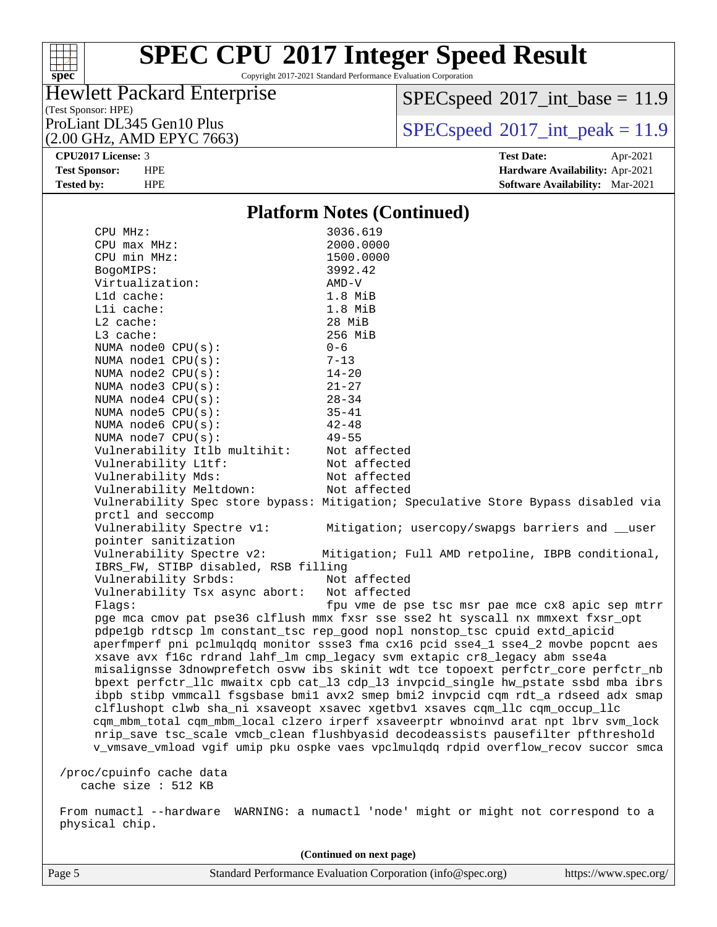

Copyright 2017-2021 Standard Performance Evaluation Corporation

## Hewlett Packard Enterprise

 $SPEC speed$ <sup>®</sup> $2017$ \_int\_base = 11.9

(Test Sponsor: HPE) (2.00 GHz, AMD EPYC 7663)

ProLiant DL345 Gen10 Plus  $\begin{array}{c} | \text{SPEC speed} \textdegree 2017\_int\_peak = 11.9 \\ \end{array}$ 

**[CPU2017 License:](http://www.spec.org/auto/cpu2017/Docs/result-fields.html#CPU2017License)** 3 **[Test Date:](http://www.spec.org/auto/cpu2017/Docs/result-fields.html#TestDate)** Apr-2021 **[Test Sponsor:](http://www.spec.org/auto/cpu2017/Docs/result-fields.html#TestSponsor)** HPE **[Hardware Availability:](http://www.spec.org/auto/cpu2017/Docs/result-fields.html#HardwareAvailability)** Apr-2021 **[Tested by:](http://www.spec.org/auto/cpu2017/Docs/result-fields.html#Testedby)** HPE **[Software Availability:](http://www.spec.org/auto/cpu2017/Docs/result-fields.html#SoftwareAvailability)** Mar-2021

#### **[Platform Notes \(Continued\)](http://www.spec.org/auto/cpu2017/Docs/result-fields.html#PlatformNotes)**

|                | CPU MHz:                             | 3036.619                                                                             |
|----------------|--------------------------------------|--------------------------------------------------------------------------------------|
|                | CPU max MHz:                         | 2000.0000                                                                            |
|                | CPU min MHz:                         | 1500.0000                                                                            |
|                | BogoMIPS:                            | 3992.42                                                                              |
|                | Virtualization:                      | $AMD-V$                                                                              |
|                | Lld cache:                           | $1.8$ MiB                                                                            |
|                |                                      |                                                                                      |
|                | Lli cache:                           | $1.8$ MiB                                                                            |
|                | $L2$ cache:                          | 28 MiB                                                                               |
|                | L3 cache:                            | 256 MiB                                                                              |
|                | NUMA node0 CPU(s):                   | $0 - 6$                                                                              |
|                | NUMA nodel CPU(s):                   | $7 - 13$                                                                             |
|                | NUMA $node2$ $CPU(s)$ :              | $14 - 20$                                                                            |
|                | NUMA $node3$ $CPU(s)$ :              | $21 - 27$                                                                            |
|                | NUMA $node4$ $CPU(s):$               | $28 - 34$                                                                            |
|                | NUMA node5 CPU(s):                   | $35 - 41$                                                                            |
|                | NUMA node6 CPU(s):                   | $42 - 48$                                                                            |
|                | NUMA node7 CPU(s):                   | $49 - 55$                                                                            |
|                | Vulnerability Itlb multihit:         | Not affected                                                                         |
|                | Vulnerability L1tf:                  | Not affected                                                                         |
|                | Vulnerability Mds:                   | Not affected                                                                         |
|                | Vulnerability Meltdown:              | Not affected                                                                         |
|                |                                      |                                                                                      |
|                |                                      | Vulnerability Spec store bypass: Mitigation; Speculative Store Bypass disabled via   |
|                | prctl and seccomp                    |                                                                                      |
|                | Vulnerability Spectre v1:            | Mitigation; usercopy/swapgs barriers and __user                                      |
|                | pointer sanitization                 |                                                                                      |
|                | Vulnerability Spectre v2:            | Mitigation; Full AMD retpoline, IBPB conditional,                                    |
|                | IBRS_FW, STIBP disabled, RSB filling |                                                                                      |
|                | Vulnerability Srbds:                 | Not affected                                                                         |
|                | Vulnerability Tsx async abort:       | Not affected                                                                         |
|                | Flaqs:                               | fpu vme de pse tsc msr pae mce cx8 apic sep mtrr                                     |
|                |                                      | pge mca cmov pat pse36 clflush mmx fxsr sse sse2 ht syscall nx mmxext fxsr_opt       |
|                |                                      | pdpelgb rdtscp lm constant_tsc rep_good nopl nonstop_tsc cpuid extd_apicid           |
|                |                                      | aperfmperf pni pclmulgdg monitor ssse3 fma cx16 pcid sse4_1 sse4_2 movbe popcnt aes  |
|                |                                      | xsave avx f16c rdrand lahf_lm cmp_legacy svm extapic cr8_legacy abm sse4a            |
|                |                                      | misalignsse 3dnowprefetch osvw ibs skinit wdt tce topoext perfctr_core perfctr_nb    |
|                |                                      | bpext perfctr_llc mwaitx cpb cat_13 cdp_13 invpcid_single hw_pstate ssbd mba ibrs    |
|                |                                      |                                                                                      |
|                |                                      | ibpb stibp vmmcall fsgsbase bmil avx2 smep bmi2 invpcid cqm rdt_a rdseed adx smap    |
|                |                                      | clflushopt clwb sha_ni xsaveopt xsavec xgetbvl xsaves cqm_llc cqm_occup_llc          |
|                |                                      | cqm_mbm_total cqm_mbm_local clzero irperf xsaveerptr wbnoinvd arat npt lbrv svm_lock |
|                |                                      | nrip_save tsc_scale vmcb_clean flushbyasid decodeassists pausefilter pfthreshold     |
|                |                                      | v_vmsave_vmload vgif umip pku ospke vaes vpclmulqdq rdpid overflow_recov succor smca |
|                |                                      |                                                                                      |
|                | /proc/cpuinfo cache data             |                                                                                      |
|                | cache size : 512 KB                  |                                                                                      |
|                |                                      | From numactl --hardware WARNING: a numactl 'node' might or might not correspond to a |
| physical chip. |                                      |                                                                                      |
|                |                                      |                                                                                      |

Page 5 Standard Performance Evaluation Corporation [\(info@spec.org\)](mailto:info@spec.org) <https://www.spec.org/> **(Continued on next page)**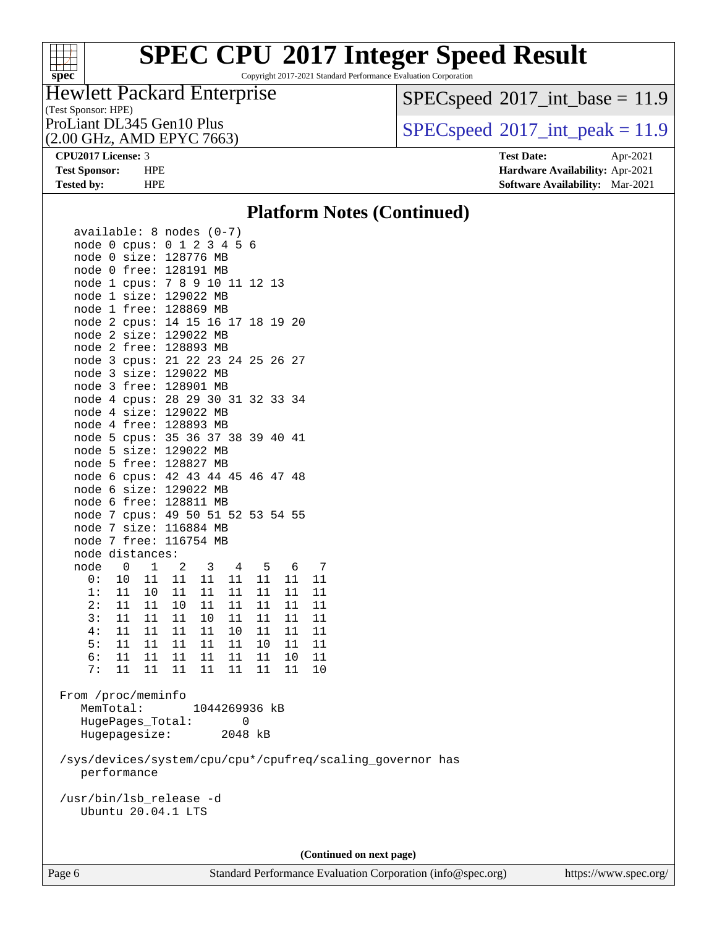

Copyright 2017-2021 Standard Performance Evaluation Corporation

## Hewlett Packard Enterprise

 $SPEC speed$ <sup>®</sup> $2017$ \_int\_base = 11.9

(Test Sponsor: HPE)

(2.00 GHz, AMD EPYC 7663)

ProLiant DL345 Gen10 Plus  $\begin{array}{c} \text{SPEC speed} \text{?} \text{017\_int\_peak} = 11.9 \end{array}$ 

**[CPU2017 License:](http://www.spec.org/auto/cpu2017/Docs/result-fields.html#CPU2017License)** 3 **[Test Date:](http://www.spec.org/auto/cpu2017/Docs/result-fields.html#TestDate)** Apr-2021 **[Test Sponsor:](http://www.spec.org/auto/cpu2017/Docs/result-fields.html#TestSponsor)** HPE **[Hardware Availability:](http://www.spec.org/auto/cpu2017/Docs/result-fields.html#HardwareAvailability)** Apr-2021 **[Tested by:](http://www.spec.org/auto/cpu2017/Docs/result-fields.html#Testedby)** HPE **[Software Availability:](http://www.spec.org/auto/cpu2017/Docs/result-fields.html#SoftwareAvailability)** Mar-2021

#### **[Platform Notes \(Continued\)](http://www.spec.org/auto/cpu2017/Docs/result-fields.html#PlatformNotes)**

| $available: 8 nodes (0-7)$<br>node 0 cpus: 0 1 2 3 4 5 6<br>node 0 size: 128776 MB |                                  |          |          |                                                           |
|------------------------------------------------------------------------------------|----------------------------------|----------|----------|-----------------------------------------------------------|
| node 0 free: 128191 MB<br>node 1 cpus: 7 8 9 10 11 12 13                           |                                  |          |          |                                                           |
| node 1 size: 129022 MB                                                             |                                  |          |          |                                                           |
| node 1 free: 128869 MB<br>node 2 cpus: 14 15 16 17 18 19 20                        |                                  |          |          |                                                           |
| node 2 size: 129022 MB                                                             |                                  |          |          |                                                           |
| node 2 free: 128893 MB<br>node 3 cpus: 21 22 23 24 25 26 27                        |                                  |          |          |                                                           |
| node 3 size: 129022 MB                                                             |                                  |          |          |                                                           |
| node 3 free: 128901 MB                                                             |                                  |          |          |                                                           |
| node 4 cpus: 28 29 30 31 32 33 34                                                  |                                  |          |          |                                                           |
| node 4 size: 129022 MB                                                             |                                  |          |          |                                                           |
| node 4 free: 128893 MB                                                             |                                  |          |          |                                                           |
| node 5 cpus: 35 36 37 38 39 40 41<br>node 5 size: 129022 MB                        |                                  |          |          |                                                           |
| node 5 free: 128827 MB                                                             |                                  |          |          |                                                           |
| node 6 cpus: 42 43 44 45 46 47 48                                                  |                                  |          |          |                                                           |
| node 6 size: 129022 MB                                                             |                                  |          |          |                                                           |
| node 6 free: 128811 MB                                                             |                                  |          |          |                                                           |
| node 7 cpus: 49 50 51 52 53 54 55                                                  |                                  |          |          |                                                           |
| node 7 size: 116884 MB                                                             |                                  |          |          |                                                           |
| node 7 free: 116754 MB                                                             |                                  |          |          |                                                           |
| node distances:<br>node<br>$0 \t 1$                                                | $\overline{\mathbf{3}}$<br>2     | 4 5 6    |          | $\overline{7}$                                            |
| 11<br>0 :<br>10                                                                    | 11<br>11<br>11                   | 11       | 11       | 11                                                        |
| 1:<br>11<br>10 <sub>1</sub>                                                        | 11<br>11<br>11                   | 11       | 11       | 11                                                        |
| 2:<br>11<br>11                                                                     | 10<br>11<br>11                   | 11       | 11       | 11                                                        |
| 3:<br>11<br>11                                                                     | 11<br>10<br>11                   | 11       | 11       | 11                                                        |
| 4:<br>11<br>11                                                                     | 11<br>11<br>10                   | 11       | 11       | 11                                                        |
| 5:<br>11<br>11                                                                     | 11<br>11<br>11                   | 10       | 11       | -11                                                       |
| 6:<br>11<br>11<br>11<br>7:<br>11                                                   | 11<br>11<br>11<br>11<br>11<br>11 | 11<br>11 | 10<br>11 | $11\,$<br>10                                              |
|                                                                                    |                                  |          |          |                                                           |
| From /proc/meminfo                                                                 |                                  |          |          |                                                           |
| MemTotal:                                                                          | 1044269936 kB                    |          |          |                                                           |
| HugePages_Total:                                                                   |                                  | 0        |          |                                                           |
| Hugepagesize:                                                                      |                                  | 2048 kB  |          |                                                           |
|                                                                                    |                                  |          |          | /sys/devices/system/cpu/cpu*/cpufreq/scaling_governor has |
| performance                                                                        |                                  |          |          |                                                           |
|                                                                                    |                                  |          |          |                                                           |
| /usr/bin/lsb_release -d                                                            |                                  |          |          |                                                           |
| Ubuntu 20.04.1 LTS                                                                 |                                  |          |          |                                                           |
|                                                                                    |                                  |          |          |                                                           |
|                                                                                    |                                  |          |          |                                                           |
|                                                                                    |                                  |          |          | (Continued on next page)                                  |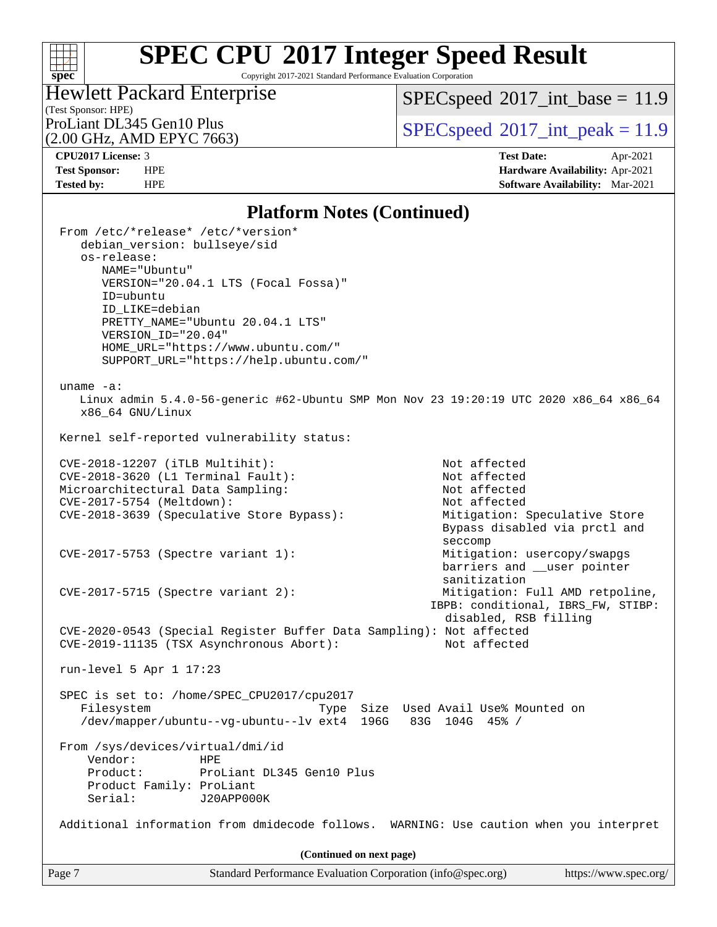### **[spec](http://www.spec.org/)**

# **[SPEC CPU](http://www.spec.org/auto/cpu2017/Docs/result-fields.html#SPECCPU2017IntegerSpeedResult)[2017 Integer Speed Result](http://www.spec.org/auto/cpu2017/Docs/result-fields.html#SPECCPU2017IntegerSpeedResult)**

Copyright 2017-2021 Standard Performance Evaluation Corporation

# Hewlett Packard Enterprise

 $SPECspeed*2017\_int\_base = 11.9$  $SPECspeed*2017\_int\_base = 11.9$ 

(Test Sponsor: HPE)<br>ProLiant DL345 Gen10 Plus

(2.00 GHz, AMD EPYC 7663)

 $SPECspeed*2017\_int\_peak = 11.9$  $SPECspeed*2017\_int\_peak = 11.9$ 

**[CPU2017 License:](http://www.spec.org/auto/cpu2017/Docs/result-fields.html#CPU2017License)** 3 **[Test Date:](http://www.spec.org/auto/cpu2017/Docs/result-fields.html#TestDate)** Apr-2021 **[Test Sponsor:](http://www.spec.org/auto/cpu2017/Docs/result-fields.html#TestSponsor)** HPE **[Hardware Availability:](http://www.spec.org/auto/cpu2017/Docs/result-fields.html#HardwareAvailability)** Apr-2021 **[Tested by:](http://www.spec.org/auto/cpu2017/Docs/result-fields.html#Testedby)** HPE **[Software Availability:](http://www.spec.org/auto/cpu2017/Docs/result-fields.html#SoftwareAvailability)** Mar-2021

### **[Platform Notes \(Continued\)](http://www.spec.org/auto/cpu2017/Docs/result-fields.html#PlatformNotes)**

| Page 7 |                                                                                                                                                         | Standard Performance Evaluation Corporation (info@spec.org)                                                                                             |                                                                                                                | https://www.spec.org/ |
|--------|---------------------------------------------------------------------------------------------------------------------------------------------------------|---------------------------------------------------------------------------------------------------------------------------------------------------------|----------------------------------------------------------------------------------------------------------------|-----------------------|
|        |                                                                                                                                                         | (Continued on next page)                                                                                                                                |                                                                                                                |                       |
|        |                                                                                                                                                         | Additional information from dmidecode follows.                                                                                                          | WARNING: Use caution when you interpret                                                                        |                       |
|        | From /sys/devices/virtual/dmi/id<br>Vendor:<br>Product:<br>Product Family: ProLiant<br>Serial:                                                          | <b>HPE</b><br>ProLiant DL345 Gen10 Plus<br>J20APP000K                                                                                                   |                                                                                                                |                       |
|        | Filesystem                                                                                                                                              | /dev/mapper/ubuntu--vq-ubuntu--lv ext4 196G                                                                                                             | Type Size Used Avail Use% Mounted on<br>83G 104G 45% /                                                         |                       |
|        | run-level 5 Apr $1$ 17:23                                                                                                                               | SPEC is set to: /home/SPEC_CPU2017/cpu2017                                                                                                              |                                                                                                                |                       |
|        |                                                                                                                                                         | CVE-2020-0543 (Special Register Buffer Data Sampling): Not affected<br>CVE-2019-11135 (TSX Asynchronous Abort):                                         | Not affected                                                                                                   |                       |
|        | $CVE-2017-5715$ (Spectre variant 2):                                                                                                                    |                                                                                                                                                         | sanitization<br>Mitigation: Full AMD retpoline,<br>IBPB: conditional, IBRS_FW, STIBP:<br>disabled, RSB filling |                       |
|        | CVE-2017-5753 (Spectre variant 1):                                                                                                                      |                                                                                                                                                         | seccomp<br>Mitigation: usercopy/swapgs<br>barriers and __user pointer                                          |                       |
|        |                                                                                                                                                         | CVE-2018-3639 (Speculative Store Bypass):                                                                                                               | Mitigation: Speculative Store<br>Bypass disabled via prctl and                                                 |                       |
|        | Microarchitectural Data Sampling:<br>CVE-2017-5754 (Meltdown):                                                                                          |                                                                                                                                                         | Not affected<br>Not affected                                                                                   |                       |
|        | CVE-2018-3620 (L1 Terminal Fault):                                                                                                                      |                                                                                                                                                         | Not affected                                                                                                   |                       |
|        | CVE-2018-12207 (iTLB Multihit):                                                                                                                         |                                                                                                                                                         | Not affected                                                                                                   |                       |
|        |                                                                                                                                                         | Kernel self-reported vulnerability status:                                                                                                              |                                                                                                                |                       |
|        | uname $-a$ :<br>x86_64 GNU/Linux                                                                                                                        |                                                                                                                                                         | Linux admin 5.4.0-56-generic #62-Ubuntu SMP Mon Nov 23 19:20:19 UTC 2020 x86_64 x86_64                         |                       |
|        | From /etc/*release* /etc/*version*<br>debian_version: bullseye/sid<br>os-release:<br>NAME="Ubuntu"<br>ID=ubuntu<br>ID_LIKE=debian<br>VERSION_ID="20.04" | VERSION="20.04.1 LTS (Focal Fossa)"<br>PRETTY_NAME="Ubuntu 20.04.1 LTS"<br>HOME_URL="https://www.ubuntu.com/"<br>SUPPORT_URL="https://help.ubuntu.com/" |                                                                                                                |                       |
|        |                                                                                                                                                         |                                                                                                                                                         |                                                                                                                |                       |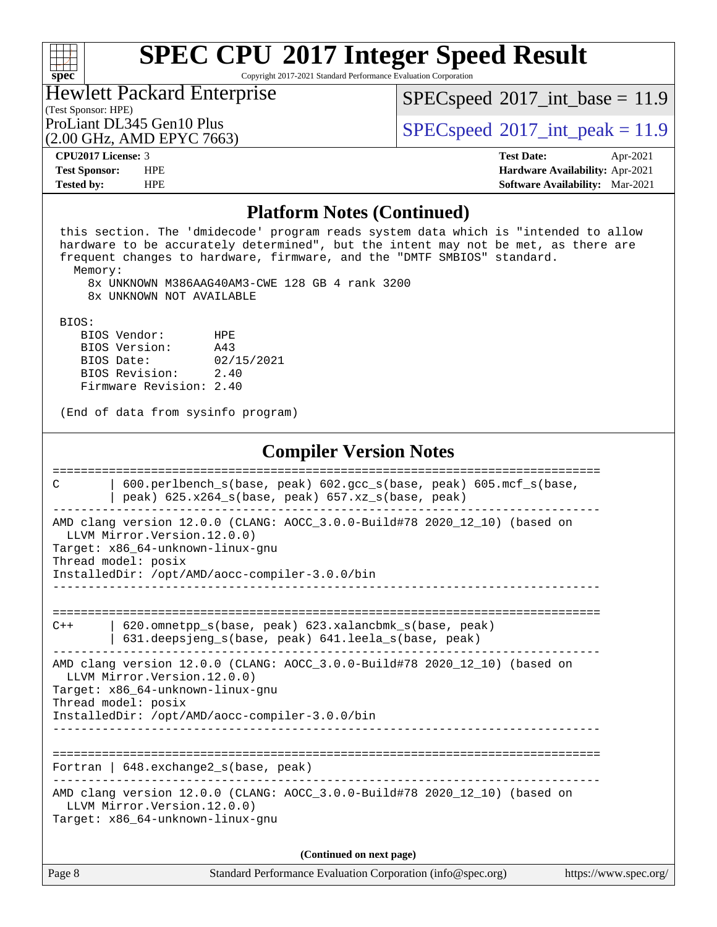### $+\!\!+\!\!$ **[spec](http://www.spec.org/)**

# **[SPEC CPU](http://www.spec.org/auto/cpu2017/Docs/result-fields.html#SPECCPU2017IntegerSpeedResult)[2017 Integer Speed Result](http://www.spec.org/auto/cpu2017/Docs/result-fields.html#SPECCPU2017IntegerSpeedResult)**

Copyright 2017-2021 Standard Performance Evaluation Corporation

#### (Test Sponsor: HPE) Hewlett Packard Enterprise

 $SPECspeed^{\circledcirc}2017\_int\_base = 11.9$  $SPECspeed^{\circledcirc}2017\_int\_base = 11.9$ 

(2.00 GHz, AMD EPYC 7663)

ProLiant DL345 Gen10 Plus  $SPECspeed@2017$  $SPECspeed@2017$  int peak = 11.9

**[CPU2017 License:](http://www.spec.org/auto/cpu2017/Docs/result-fields.html#CPU2017License)** 3 **[Test Date:](http://www.spec.org/auto/cpu2017/Docs/result-fields.html#TestDate)** Apr-2021 **[Test Sponsor:](http://www.spec.org/auto/cpu2017/Docs/result-fields.html#TestSponsor)** HPE **[Hardware Availability:](http://www.spec.org/auto/cpu2017/Docs/result-fields.html#HardwareAvailability)** Apr-2021 **[Tested by:](http://www.spec.org/auto/cpu2017/Docs/result-fields.html#Testedby)** HPE **[Software Availability:](http://www.spec.org/auto/cpu2017/Docs/result-fields.html#SoftwareAvailability)** Mar-2021

#### **[Platform Notes \(Continued\)](http://www.spec.org/auto/cpu2017/Docs/result-fields.html#PlatformNotes)**

 this section. The 'dmidecode' program reads system data which is "intended to allow hardware to be accurately determined", but the intent may not be met, as there are frequent changes to hardware, firmware, and the "DMTF SMBIOS" standard. Memory: 8x UNKNOWN M386AAG40AM3-CWE 128 GB 4 rank 3200 8x UNKNOWN NOT AVAILABLE BIOS: BIOS Vendor: HPE BIOS Version: A43 BIOS Date: 02/15/2021 BIOS Revision: 2.40 Firmware Revision: 2.40 (End of data from sysinfo program) **[Compiler Version Notes](http://www.spec.org/auto/cpu2017/Docs/result-fields.html#CompilerVersionNotes)** ============================================================================== C | 600.perlbench\_s(base, peak) 602.gcc\_s(base, peak) 605.mcf\_s(base, | peak) 625.x264\_s(base, peak) 657.xz\_s(base, peak) ------------------------------------------------------------------------------ AMD clang version 12.0.0 (CLANG: AOCC\_3.0.0-Build#78 2020\_12\_10) (based on LLVM Mirror.Version.12.0.0) Target: x86\_64-unknown-linux-gnu Thread model: posix InstalledDir: /opt/AMD/aocc-compiler-3.0.0/bin ------------------------------------------------------------------------------ ============================================================================== C++ | 620.omnetpp\_s(base, peak) 623.xalancbmk\_s(base, peak) | 631.deepsjeng\_s(base, peak) 641.leela\_s(base, peak) ------------------------------------------------------------------------------ AMD clang version 12.0.0 (CLANG: AOCC\_3.0.0-Build#78 2020\_12\_10) (based on LLVM Mirror.Version.12.0.0) Target: x86\_64-unknown-linux-gnu Thread model: posix InstalledDir: /opt/AMD/aocc-compiler-3.0.0/bin ------------------------------------------------------------------------------ ============================================================================== Fortran | 648.exchange2\_s(base, peak) ------------------------------------------------------------------------------ AMD clang version 12.0.0 (CLANG: AOCC\_3.0.0-Build#78 2020\_12\_10) (based on LLVM Mirror.Version.12.0.0) Target: x86\_64-unknown-linux-gnu **(Continued on next page)**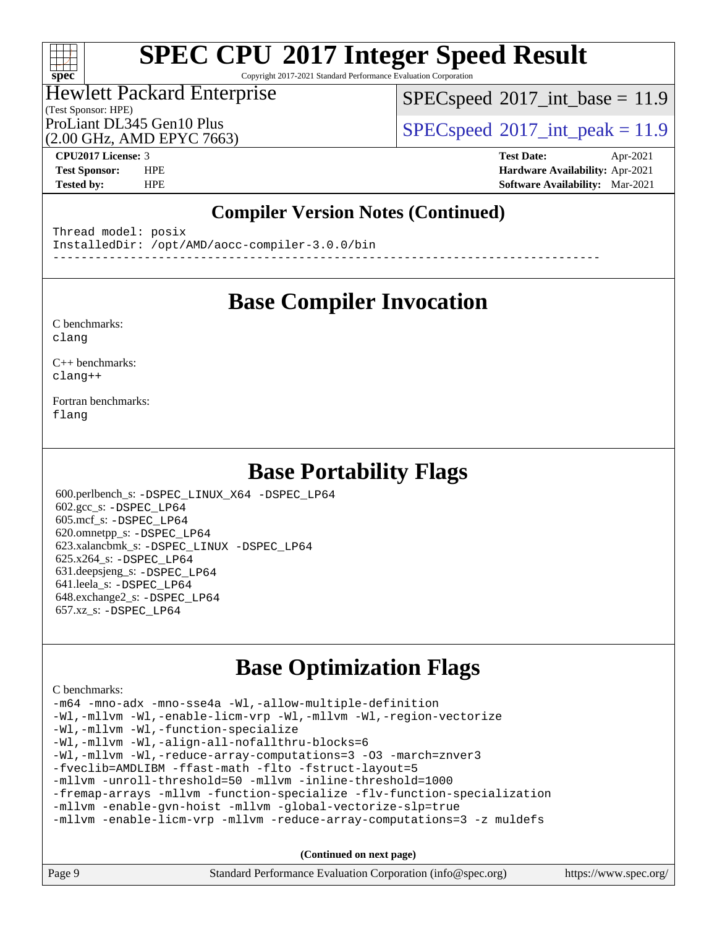Copyright 2017-2021 Standard Performance Evaluation Corporation

#### (Test Sponsor: HPE) Hewlett Packard Enterprise

 $SPECspeed^{\circledcirc}2017\_int\_base = 11.9$  $SPECspeed^{\circledcirc}2017\_int\_base = 11.9$ 

(2.00 GHz, AMD EPYC 7663)

ProLiant DL345 Gen10 Plus  $SPECspeed@2017$  $SPECspeed@2017$ \_int\_peak = 11.9

**[spec](http://www.spec.org/)**

 $+\ +$ 

**[CPU2017 License:](http://www.spec.org/auto/cpu2017/Docs/result-fields.html#CPU2017License)** 3 **[Test Date:](http://www.spec.org/auto/cpu2017/Docs/result-fields.html#TestDate)** Apr-2021 **[Test Sponsor:](http://www.spec.org/auto/cpu2017/Docs/result-fields.html#TestSponsor)** HPE **[Hardware Availability:](http://www.spec.org/auto/cpu2017/Docs/result-fields.html#HardwareAvailability)** Apr-2021 **[Tested by:](http://www.spec.org/auto/cpu2017/Docs/result-fields.html#Testedby)** HPE **[Software Availability:](http://www.spec.org/auto/cpu2017/Docs/result-fields.html#SoftwareAvailability)** Mar-2021

### **[Compiler Version Notes \(Continued\)](http://www.spec.org/auto/cpu2017/Docs/result-fields.html#CompilerVersionNotes)**

Thread model: posix InstalledDir: /opt/AMD/aocc-compiler-3.0.0/bin ------------------------------------------------------------------------------

## **[Base Compiler Invocation](http://www.spec.org/auto/cpu2017/Docs/result-fields.html#BaseCompilerInvocation)**

[C benchmarks](http://www.spec.org/auto/cpu2017/Docs/result-fields.html#Cbenchmarks): [clang](http://www.spec.org/cpu2017/results/res2021q2/cpu2017-20210524-26404.flags.html#user_CCbase_clang-c)

[C++ benchmarks:](http://www.spec.org/auto/cpu2017/Docs/result-fields.html#CXXbenchmarks) [clang++](http://www.spec.org/cpu2017/results/res2021q2/cpu2017-20210524-26404.flags.html#user_CXXbase_clang-cpp)

[Fortran benchmarks](http://www.spec.org/auto/cpu2017/Docs/result-fields.html#Fortranbenchmarks): [flang](http://www.spec.org/cpu2017/results/res2021q2/cpu2017-20210524-26404.flags.html#user_FCbase_flang)

## **[Base Portability Flags](http://www.spec.org/auto/cpu2017/Docs/result-fields.html#BasePortabilityFlags)**

 600.perlbench\_s: [-DSPEC\\_LINUX\\_X64](http://www.spec.org/cpu2017/results/res2021q2/cpu2017-20210524-26404.flags.html#b600.perlbench_s_basePORTABILITY_DSPEC_LINUX_X64) [-DSPEC\\_LP64](http://www.spec.org/cpu2017/results/res2021q2/cpu2017-20210524-26404.flags.html#b600.perlbench_s_baseEXTRA_PORTABILITY_DSPEC_LP64) 602.gcc\_s: [-DSPEC\\_LP64](http://www.spec.org/cpu2017/results/res2021q2/cpu2017-20210524-26404.flags.html#suite_baseEXTRA_PORTABILITY602_gcc_s_DSPEC_LP64) 605.mcf\_s: [-DSPEC\\_LP64](http://www.spec.org/cpu2017/results/res2021q2/cpu2017-20210524-26404.flags.html#suite_baseEXTRA_PORTABILITY605_mcf_s_DSPEC_LP64) 620.omnetpp\_s: [-DSPEC\\_LP64](http://www.spec.org/cpu2017/results/res2021q2/cpu2017-20210524-26404.flags.html#suite_baseEXTRA_PORTABILITY620_omnetpp_s_DSPEC_LP64) 623.xalancbmk\_s: [-DSPEC\\_LINUX](http://www.spec.org/cpu2017/results/res2021q2/cpu2017-20210524-26404.flags.html#b623.xalancbmk_s_basePORTABILITY_DSPEC_LINUX) [-DSPEC\\_LP64](http://www.spec.org/cpu2017/results/res2021q2/cpu2017-20210524-26404.flags.html#suite_baseEXTRA_PORTABILITY623_xalancbmk_s_DSPEC_LP64) 625.x264\_s: [-DSPEC\\_LP64](http://www.spec.org/cpu2017/results/res2021q2/cpu2017-20210524-26404.flags.html#suite_baseEXTRA_PORTABILITY625_x264_s_DSPEC_LP64) 631.deepsjeng\_s: [-DSPEC\\_LP64](http://www.spec.org/cpu2017/results/res2021q2/cpu2017-20210524-26404.flags.html#suite_baseEXTRA_PORTABILITY631_deepsjeng_s_DSPEC_LP64) 641.leela\_s: [-DSPEC\\_LP64](http://www.spec.org/cpu2017/results/res2021q2/cpu2017-20210524-26404.flags.html#suite_baseEXTRA_PORTABILITY641_leela_s_DSPEC_LP64) 648.exchange2\_s: [-DSPEC\\_LP64](http://www.spec.org/cpu2017/results/res2021q2/cpu2017-20210524-26404.flags.html#suite_baseEXTRA_PORTABILITY648_exchange2_s_DSPEC_LP64) 657.xz\_s: [-DSPEC\\_LP64](http://www.spec.org/cpu2017/results/res2021q2/cpu2017-20210524-26404.flags.html#suite_baseEXTRA_PORTABILITY657_xz_s_DSPEC_LP64)

## **[Base Optimization Flags](http://www.spec.org/auto/cpu2017/Docs/result-fields.html#BaseOptimizationFlags)**

[C benchmarks](http://www.spec.org/auto/cpu2017/Docs/result-fields.html#Cbenchmarks):

[-m64](http://www.spec.org/cpu2017/results/res2021q2/cpu2017-20210524-26404.flags.html#user_CCbase_F-m64) [-mno-adx](http://www.spec.org/cpu2017/results/res2021q2/cpu2017-20210524-26404.flags.html#user_CCbase_F-mno-adx) [-mno-sse4a](http://www.spec.org/cpu2017/results/res2021q2/cpu2017-20210524-26404.flags.html#user_CCbase_F-mno-sse4a) [-Wl,-allow-multiple-definition](http://www.spec.org/cpu2017/results/res2021q2/cpu2017-20210524-26404.flags.html#user_CCbase_F-allow-multiple-definition_970930b9380f536892d286f43fe3aa60143711811517403e860b887d69527ebeb0ce7f1b66302f2a87b3cab7b5adae5fa57fa46168627b86a7718b21636cd604) [-Wl,-mllvm -Wl,-enable-licm-vrp](http://www.spec.org/cpu2017/results/res2021q2/cpu2017-20210524-26404.flags.html#user_CCbase_F-enable-licm-vrp_65c4fc69039207ec88421e1591ba3bbf2ac715c2f390cac268ece6f40ae7757bd65f971ef38c9b70aedd2bf37e4037d3d64a7fe88db6aed78b6f244274772259) [-Wl,-mllvm -Wl,-region-vectorize](http://www.spec.org/cpu2017/results/res2021q2/cpu2017-20210524-26404.flags.html#user_CCbase_F-region-vectorize_fb6c6b5aa293c88efc6c7c2b52b20755e943585b1fe8658c35afef78727fff56e1a56891413c30e36b8e2a6f9a71126986319243e80eb6110b78b288f533c52b) [-Wl,-mllvm -Wl,-function-specialize](http://www.spec.org/cpu2017/results/res2021q2/cpu2017-20210524-26404.flags.html#user_CCbase_F-function-specialize_7e7e661e57922243ee67c9a1251cb8910e607325179a0ce7f2884e09a6f5d4a5ef0ae4f37e8a2a11c95fc48e931f06dc2b6016f14b511fcb441e048bef1b065a) [-Wl,-mllvm -Wl,-align-all-nofallthru-blocks=6](http://www.spec.org/cpu2017/results/res2021q2/cpu2017-20210524-26404.flags.html#user_CCbase_F-align-all-nofallthru-blocks) [-Wl,-mllvm -Wl,-reduce-array-computations=3](http://www.spec.org/cpu2017/results/res2021q2/cpu2017-20210524-26404.flags.html#user_CCbase_F-reduce-array-computations_b882aefe7a5dda4e33149f6299762b9a720dace3e498e13756f4c04e5a19edf5315c1f3993de2e61ec41e8c206231f84e05da7040e1bb5d69ba27d10a12507e4) [-O3](http://www.spec.org/cpu2017/results/res2021q2/cpu2017-20210524-26404.flags.html#user_CCbase_F-O3) [-march=znver3](http://www.spec.org/cpu2017/results/res2021q2/cpu2017-20210524-26404.flags.html#user_CCbase_aocc-march) [-fveclib=AMDLIBM](http://www.spec.org/cpu2017/results/res2021q2/cpu2017-20210524-26404.flags.html#user_CCbase_F-fveclib) [-ffast-math](http://www.spec.org/cpu2017/results/res2021q2/cpu2017-20210524-26404.flags.html#user_CCbase_aocc-ffast-math) [-flto](http://www.spec.org/cpu2017/results/res2021q2/cpu2017-20210524-26404.flags.html#user_CCbase_aocc-flto) [-fstruct-layout=5](http://www.spec.org/cpu2017/results/res2021q2/cpu2017-20210524-26404.flags.html#user_CCbase_F-struct-layout) [-mllvm -unroll-threshold=50](http://www.spec.org/cpu2017/results/res2021q2/cpu2017-20210524-26404.flags.html#user_CCbase_F-unroll-threshold_458874500b2c105d6d5cb4d7a611c40e2b16e9e3d26b355fea72d644c3673b4de4b3932662f0ed3dbec75c491a13da2d2ca81180bd779dc531083ef1e1e549dc) [-mllvm -inline-threshold=1000](http://www.spec.org/cpu2017/results/res2021q2/cpu2017-20210524-26404.flags.html#user_CCbase_F-inline-threshold_b7832241b0a6397e4ecdbaf0eb7defdc10f885c2a282fa3240fdc99844d543fda39cf8a4a9dccf68cf19b5438ac3b455264f478df15da0f4988afa40d8243bab) [-fremap-arrays](http://www.spec.org/cpu2017/results/res2021q2/cpu2017-20210524-26404.flags.html#user_CCbase_F-fremap-arrays) [-mllvm -function-specialize](http://www.spec.org/cpu2017/results/res2021q2/cpu2017-20210524-26404.flags.html#user_CCbase_F-function-specialize_233b3bdba86027f1b094368157e481c5bc59f40286dc25bfadc1858dcd5745c24fd30d5f188710db7fea399bcc9f44a80b3ce3aacc70a8870250c3ae5e1f35b8) [-flv-function-specialization](http://www.spec.org/cpu2017/results/res2021q2/cpu2017-20210524-26404.flags.html#user_CCbase_F-flv-function-specialization) [-mllvm -enable-gvn-hoist](http://www.spec.org/cpu2017/results/res2021q2/cpu2017-20210524-26404.flags.html#user_CCbase_F-enable-gvn-hoist_e5856354646dd6ca1333a0ad99b817e4cf8932b91b82809fd8fd47ceff7b22a89eba5c98fd3e3fa5200368fd772cec3dd56abc3c8f7b655a71b9f9848dddedd5) [-mllvm -global-vectorize-slp=true](http://www.spec.org/cpu2017/results/res2021q2/cpu2017-20210524-26404.flags.html#user_CCbase_F-global-vectorize-slp_f701c289ed3fc79483844cad3672606d268e3123d2651e764a36e57810b634b30ff7af25c43ce4288d0e4c1cc47ba156fce6ed971bc0d0e53c4c557f353d3dec) [-mllvm -enable-licm-vrp](http://www.spec.org/cpu2017/results/res2021q2/cpu2017-20210524-26404.flags.html#user_CCbase_F-enable-licm-vrp_82fd83574dee81d8c8043a1355024a53ba7c23d449242d72368fd778ae4cd8625fb6c8e473e88c632367ccc13b0c321b9a13b8db897fcfc1592cf0205fd356b5) [-mllvm -reduce-array-computations=3](http://www.spec.org/cpu2017/results/res2021q2/cpu2017-20210524-26404.flags.html#user_CCbase_F-reduce-array-computations) [-z muldefs](http://www.spec.org/cpu2017/results/res2021q2/cpu2017-20210524-26404.flags.html#user_CCbase_aocc-muldefs)

**(Continued on next page)**

| Page 9 | Standard Performance Evaluation Corporation (info@spec.org) | https://www.spec.org/ |
|--------|-------------------------------------------------------------|-----------------------|
|--------|-------------------------------------------------------------|-----------------------|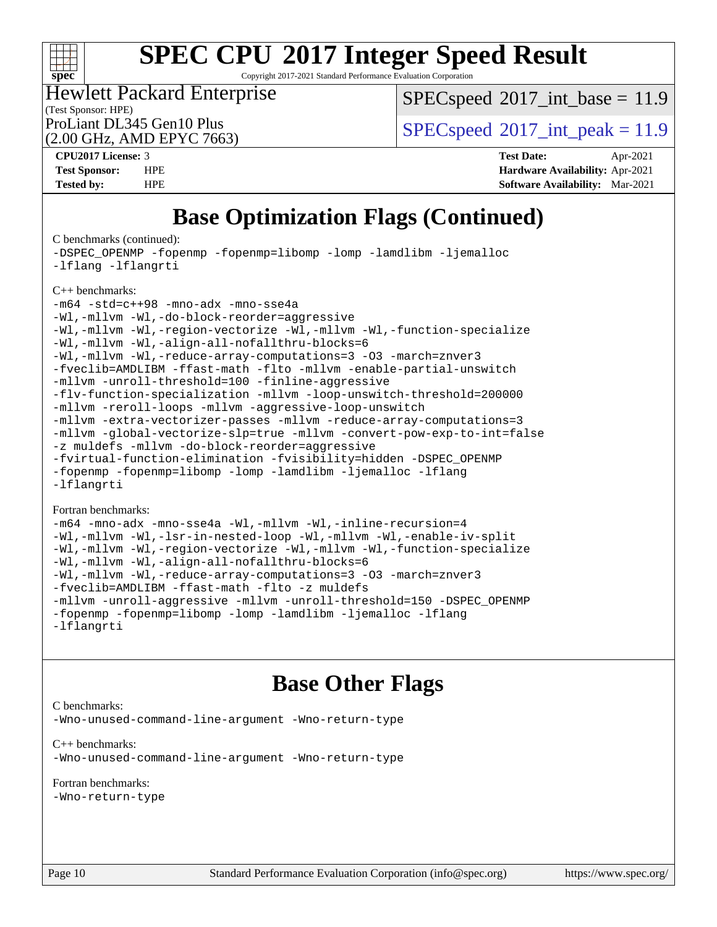

Copyright 2017-2021 Standard Performance Evaluation Corporation

(Test Sponsor: HPE) Hewlett Packard Enterprise

 $SPECspeed^{\circ}2017\_int\_base = 11.9$  $SPECspeed^{\circ}2017\_int\_base = 11.9$ 

(2.00 GHz, AMD EPYC 7663)

ProLiant DL345 Gen10 Plus  $SPECspeed@2017$  $SPECspeed@2017$  int peak = 11.9

**[CPU2017 License:](http://www.spec.org/auto/cpu2017/Docs/result-fields.html#CPU2017License)** 3 **[Test Date:](http://www.spec.org/auto/cpu2017/Docs/result-fields.html#TestDate)** Apr-2021 **[Test Sponsor:](http://www.spec.org/auto/cpu2017/Docs/result-fields.html#TestSponsor)** HPE **[Hardware Availability:](http://www.spec.org/auto/cpu2017/Docs/result-fields.html#HardwareAvailability)** Apr-2021 **[Tested by:](http://www.spec.org/auto/cpu2017/Docs/result-fields.html#Testedby)** HPE **[Software Availability:](http://www.spec.org/auto/cpu2017/Docs/result-fields.html#SoftwareAvailability)** Mar-2021

## **[Base Optimization Flags \(Continued\)](http://www.spec.org/auto/cpu2017/Docs/result-fields.html#BaseOptimizationFlags)**

[C benchmarks](http://www.spec.org/auto/cpu2017/Docs/result-fields.html#Cbenchmarks) (continued):

[-DSPEC\\_OPENMP](http://www.spec.org/cpu2017/results/res2021q2/cpu2017-20210524-26404.flags.html#suite_CCbase_DSPEC_OPENMP) [-fopenmp](http://www.spec.org/cpu2017/results/res2021q2/cpu2017-20210524-26404.flags.html#user_CCbase_aocc-fopenmp) [-fopenmp=libomp](http://www.spec.org/cpu2017/results/res2021q2/cpu2017-20210524-26404.flags.html#user_CCbase_aocc-fopenmp_3eb6ab80166bcc84161ff8c20c8d5bc344f88119f45620444596454f7d72e99b7a0ceefc2d1b4d190bd07306bbfdfc20f11f5a2dc69c9b03c72239f8406741c3) [-lomp](http://www.spec.org/cpu2017/results/res2021q2/cpu2017-20210524-26404.flags.html#user_CCbase_F-lomp) [-lamdlibm](http://www.spec.org/cpu2017/results/res2021q2/cpu2017-20210524-26404.flags.html#user_CCbase_F-lamdlibm) [-ljemalloc](http://www.spec.org/cpu2017/results/res2021q2/cpu2017-20210524-26404.flags.html#user_CCbase_jemalloc-lib) [-lflang](http://www.spec.org/cpu2017/results/res2021q2/cpu2017-20210524-26404.flags.html#user_CCbase_F-lflang) [-lflangrti](http://www.spec.org/cpu2017/results/res2021q2/cpu2017-20210524-26404.flags.html#user_CCbase_F-lflangrti) [C++ benchmarks:](http://www.spec.org/auto/cpu2017/Docs/result-fields.html#CXXbenchmarks)

[-m64](http://www.spec.org/cpu2017/results/res2021q2/cpu2017-20210524-26404.flags.html#user_CXXbase_F-m64) [-std=c++98](http://www.spec.org/cpu2017/results/res2021q2/cpu2017-20210524-26404.flags.html#user_CXXbase_std-cpp) [-mno-adx](http://www.spec.org/cpu2017/results/res2021q2/cpu2017-20210524-26404.flags.html#user_CXXbase_F-mno-adx) [-mno-sse4a](http://www.spec.org/cpu2017/results/res2021q2/cpu2017-20210524-26404.flags.html#user_CXXbase_F-mno-sse4a) [-Wl,-mllvm -Wl,-do-block-reorder=aggressive](http://www.spec.org/cpu2017/results/res2021q2/cpu2017-20210524-26404.flags.html#user_CXXbase_F-do-block-reorder_5f74e61ee573767a7a801151b896942f7b82b19d6cd9bf8ce970c1e994a093b9201db6c2ab0fa62493e8c1b02c988fb29421a5aa214bf67b5398dfa89747b1b3)

[-Wl,-mllvm -Wl,-region-vectorize](http://www.spec.org/cpu2017/results/res2021q2/cpu2017-20210524-26404.flags.html#user_CXXbase_F-region-vectorize_fb6c6b5aa293c88efc6c7c2b52b20755e943585b1fe8658c35afef78727fff56e1a56891413c30e36b8e2a6f9a71126986319243e80eb6110b78b288f533c52b) [-Wl,-mllvm -Wl,-function-specialize](http://www.spec.org/cpu2017/results/res2021q2/cpu2017-20210524-26404.flags.html#user_CXXbase_F-function-specialize_7e7e661e57922243ee67c9a1251cb8910e607325179a0ce7f2884e09a6f5d4a5ef0ae4f37e8a2a11c95fc48e931f06dc2b6016f14b511fcb441e048bef1b065a) [-Wl,-mllvm -Wl,-align-all-nofallthru-blocks=6](http://www.spec.org/cpu2017/results/res2021q2/cpu2017-20210524-26404.flags.html#user_CXXbase_F-align-all-nofallthru-blocks) [-Wl,-mllvm -Wl,-reduce-array-computations=3](http://www.spec.org/cpu2017/results/res2021q2/cpu2017-20210524-26404.flags.html#user_CXXbase_F-reduce-array-computations_b882aefe7a5dda4e33149f6299762b9a720dace3e498e13756f4c04e5a19edf5315c1f3993de2e61ec41e8c206231f84e05da7040e1bb5d69ba27d10a12507e4) [-O3](http://www.spec.org/cpu2017/results/res2021q2/cpu2017-20210524-26404.flags.html#user_CXXbase_F-O3) [-march=znver3](http://www.spec.org/cpu2017/results/res2021q2/cpu2017-20210524-26404.flags.html#user_CXXbase_aocc-march) [-fveclib=AMDLIBM](http://www.spec.org/cpu2017/results/res2021q2/cpu2017-20210524-26404.flags.html#user_CXXbase_F-fveclib) [-ffast-math](http://www.spec.org/cpu2017/results/res2021q2/cpu2017-20210524-26404.flags.html#user_CXXbase_aocc-ffast-math) [-flto](http://www.spec.org/cpu2017/results/res2021q2/cpu2017-20210524-26404.flags.html#user_CXXbase_aocc-flto) [-mllvm -enable-partial-unswitch](http://www.spec.org/cpu2017/results/res2021q2/cpu2017-20210524-26404.flags.html#user_CXXbase_F-enable-partial-unswitch_6e1c33f981d77963b1eaf834973128a7f33ce3f8e27f54689656697a35e89dcc875281e0e6283d043e32f367dcb605ba0e307a92e830f7e326789fa6c61b35d3) [-mllvm -unroll-threshold=100](http://www.spec.org/cpu2017/results/res2021q2/cpu2017-20210524-26404.flags.html#user_CXXbase_F-unroll-threshold) [-finline-aggressive](http://www.spec.org/cpu2017/results/res2021q2/cpu2017-20210524-26404.flags.html#user_CXXbase_F-finline-aggressive) [-flv-function-specialization](http://www.spec.org/cpu2017/results/res2021q2/cpu2017-20210524-26404.flags.html#user_CXXbase_F-flv-function-specialization) [-mllvm -loop-unswitch-threshold=200000](http://www.spec.org/cpu2017/results/res2021q2/cpu2017-20210524-26404.flags.html#user_CXXbase_F-loop-unswitch-threshold_f9a82ae3270e55b5fbf79d0d96ee93606b73edbbe527d20b18b7bff1a3a146ad50cfc7454c5297978340ae9213029016a7d16221274d672d3f7f42ed25274e1d) [-mllvm -reroll-loops](http://www.spec.org/cpu2017/results/res2021q2/cpu2017-20210524-26404.flags.html#user_CXXbase_F-reroll-loops) [-mllvm -aggressive-loop-unswitch](http://www.spec.org/cpu2017/results/res2021q2/cpu2017-20210524-26404.flags.html#user_CXXbase_F-aggressive-loop-unswitch_abd8177005d493f9a81f88ae32814acdc0422950e54bc53b0605c538e2e7549eb43d48c826089056b98aa2f0c142dc7ed1401fa1c97db9286a8c3ff748437b59) [-mllvm -extra-vectorizer-passes](http://www.spec.org/cpu2017/results/res2021q2/cpu2017-20210524-26404.flags.html#user_CXXbase_F-extra-vectorizer-passes_4bb9f90681e045f5ce38050c5c48e52c5a95ed819cbc44e12f6b389a91a38f1bfb7d9f51b06906bf2bd7ccd881019f6383c418982c71e3a142c10a060056d555) [-mllvm -reduce-array-computations=3](http://www.spec.org/cpu2017/results/res2021q2/cpu2017-20210524-26404.flags.html#user_CXXbase_F-reduce-array-computations) [-mllvm -global-vectorize-slp=true](http://www.spec.org/cpu2017/results/res2021q2/cpu2017-20210524-26404.flags.html#user_CXXbase_F-global-vectorize-slp_f701c289ed3fc79483844cad3672606d268e3123d2651e764a36e57810b634b30ff7af25c43ce4288d0e4c1cc47ba156fce6ed971bc0d0e53c4c557f353d3dec) [-mllvm -convert-pow-exp-to-int=false](http://www.spec.org/cpu2017/results/res2021q2/cpu2017-20210524-26404.flags.html#user_CXXbase_F-convert-pow-exp-to-int_48075d7f300181d7350b7c152e089ba974e4acf53c583458eae87b0ecd6f9aa5a8546e2797aca77a784d497b972647cfd65b81c02996ee1106af5ba1043433c1) [-z muldefs](http://www.spec.org/cpu2017/results/res2021q2/cpu2017-20210524-26404.flags.html#user_CXXbase_aocc-muldefs) [-mllvm -do-block-reorder=aggressive](http://www.spec.org/cpu2017/results/res2021q2/cpu2017-20210524-26404.flags.html#user_CXXbase_F-do-block-reorder) [-fvirtual-function-elimination](http://www.spec.org/cpu2017/results/res2021q2/cpu2017-20210524-26404.flags.html#user_CXXbase_F-fvirtual-function-elimination) [-fvisibility=hidden](http://www.spec.org/cpu2017/results/res2021q2/cpu2017-20210524-26404.flags.html#user_CXXbase_F-fvisibility) [-DSPEC\\_OPENMP](http://www.spec.org/cpu2017/results/res2021q2/cpu2017-20210524-26404.flags.html#suite_CXXbase_DSPEC_OPENMP) [-fopenmp](http://www.spec.org/cpu2017/results/res2021q2/cpu2017-20210524-26404.flags.html#user_CXXbase_aocc-fopenmp) [-fopenmp=libomp](http://www.spec.org/cpu2017/results/res2021q2/cpu2017-20210524-26404.flags.html#user_CXXbase_aocc-fopenmp_3eb6ab80166bcc84161ff8c20c8d5bc344f88119f45620444596454f7d72e99b7a0ceefc2d1b4d190bd07306bbfdfc20f11f5a2dc69c9b03c72239f8406741c3) [-lomp](http://www.spec.org/cpu2017/results/res2021q2/cpu2017-20210524-26404.flags.html#user_CXXbase_F-lomp) [-lamdlibm](http://www.spec.org/cpu2017/results/res2021q2/cpu2017-20210524-26404.flags.html#user_CXXbase_F-lamdlibm) [-ljemalloc](http://www.spec.org/cpu2017/results/res2021q2/cpu2017-20210524-26404.flags.html#user_CXXbase_jemalloc-lib) [-lflang](http://www.spec.org/cpu2017/results/res2021q2/cpu2017-20210524-26404.flags.html#user_CXXbase_F-lflang) [-lflangrti](http://www.spec.org/cpu2017/results/res2021q2/cpu2017-20210524-26404.flags.html#user_CXXbase_F-lflangrti)

#### [Fortran benchmarks](http://www.spec.org/auto/cpu2017/Docs/result-fields.html#Fortranbenchmarks):

[-m64](http://www.spec.org/cpu2017/results/res2021q2/cpu2017-20210524-26404.flags.html#user_FCbase_F-m64) [-mno-adx](http://www.spec.org/cpu2017/results/res2021q2/cpu2017-20210524-26404.flags.html#user_FCbase_F-mno-adx) [-mno-sse4a](http://www.spec.org/cpu2017/results/res2021q2/cpu2017-20210524-26404.flags.html#user_FCbase_F-mno-sse4a) [-Wl,-mllvm -Wl,-inline-recursion=4](http://www.spec.org/cpu2017/results/res2021q2/cpu2017-20210524-26404.flags.html#user_FCbase_F-inline-recursion) [-Wl,-mllvm -Wl,-lsr-in-nested-loop](http://www.spec.org/cpu2017/results/res2021q2/cpu2017-20210524-26404.flags.html#user_FCbase_F-lsr-in-nested-loop) [-Wl,-mllvm -Wl,-enable-iv-split](http://www.spec.org/cpu2017/results/res2021q2/cpu2017-20210524-26404.flags.html#user_FCbase_F-enable-iv-split) [-Wl,-mllvm -Wl,-region-vectorize](http://www.spec.org/cpu2017/results/res2021q2/cpu2017-20210524-26404.flags.html#user_FCbase_F-region-vectorize_fb6c6b5aa293c88efc6c7c2b52b20755e943585b1fe8658c35afef78727fff56e1a56891413c30e36b8e2a6f9a71126986319243e80eb6110b78b288f533c52b) [-Wl,-mllvm -Wl,-function-specialize](http://www.spec.org/cpu2017/results/res2021q2/cpu2017-20210524-26404.flags.html#user_FCbase_F-function-specialize_7e7e661e57922243ee67c9a1251cb8910e607325179a0ce7f2884e09a6f5d4a5ef0ae4f37e8a2a11c95fc48e931f06dc2b6016f14b511fcb441e048bef1b065a) [-Wl,-mllvm -Wl,-align-all-nofallthru-blocks=6](http://www.spec.org/cpu2017/results/res2021q2/cpu2017-20210524-26404.flags.html#user_FCbase_F-align-all-nofallthru-blocks) [-Wl,-mllvm -Wl,-reduce-array-computations=3](http://www.spec.org/cpu2017/results/res2021q2/cpu2017-20210524-26404.flags.html#user_FCbase_F-reduce-array-computations_b882aefe7a5dda4e33149f6299762b9a720dace3e498e13756f4c04e5a19edf5315c1f3993de2e61ec41e8c206231f84e05da7040e1bb5d69ba27d10a12507e4) [-O3](http://www.spec.org/cpu2017/results/res2021q2/cpu2017-20210524-26404.flags.html#user_FCbase_F-O3) [-march=znver3](http://www.spec.org/cpu2017/results/res2021q2/cpu2017-20210524-26404.flags.html#user_FCbase_aocc-march) [-fveclib=AMDLIBM](http://www.spec.org/cpu2017/results/res2021q2/cpu2017-20210524-26404.flags.html#user_FCbase_F-fveclib) [-ffast-math](http://www.spec.org/cpu2017/results/res2021q2/cpu2017-20210524-26404.flags.html#user_FCbase_aocc-ffast-math) [-flto](http://www.spec.org/cpu2017/results/res2021q2/cpu2017-20210524-26404.flags.html#user_FCbase_aocc-flto) [-z muldefs](http://www.spec.org/cpu2017/results/res2021q2/cpu2017-20210524-26404.flags.html#user_FCbase_aocc-muldefs) [-mllvm -unroll-aggressive](http://www.spec.org/cpu2017/results/res2021q2/cpu2017-20210524-26404.flags.html#user_FCbase_F-unroll-aggressive) [-mllvm -unroll-threshold=150](http://www.spec.org/cpu2017/results/res2021q2/cpu2017-20210524-26404.flags.html#user_FCbase_F-unroll-threshold_3352736ce55666ed13437f5f5fd6693920e68d4dfd26bba42492bb1c46b6d7692ff5ba7bd4d2ebdab48d140ca981a39154ff0664b4d322a66fc3d1aafa4d7ffe) [-DSPEC\\_OPENMP](http://www.spec.org/cpu2017/results/res2021q2/cpu2017-20210524-26404.flags.html#suite_FCbase_DSPEC_OPENMP) [-fopenmp](http://www.spec.org/cpu2017/results/res2021q2/cpu2017-20210524-26404.flags.html#user_FCbase_aocc-fopenmp) [-fopenmp=libomp](http://www.spec.org/cpu2017/results/res2021q2/cpu2017-20210524-26404.flags.html#user_FCbase_aocc-fopenmp_3eb6ab80166bcc84161ff8c20c8d5bc344f88119f45620444596454f7d72e99b7a0ceefc2d1b4d190bd07306bbfdfc20f11f5a2dc69c9b03c72239f8406741c3) [-lomp](http://www.spec.org/cpu2017/results/res2021q2/cpu2017-20210524-26404.flags.html#user_FCbase_F-lomp) [-lamdlibm](http://www.spec.org/cpu2017/results/res2021q2/cpu2017-20210524-26404.flags.html#user_FCbase_F-lamdlibm) [-ljemalloc](http://www.spec.org/cpu2017/results/res2021q2/cpu2017-20210524-26404.flags.html#user_FCbase_jemalloc-lib) [-lflang](http://www.spec.org/cpu2017/results/res2021q2/cpu2017-20210524-26404.flags.html#user_FCbase_F-lflang) [-lflangrti](http://www.spec.org/cpu2017/results/res2021q2/cpu2017-20210524-26404.flags.html#user_FCbase_F-lflangrti)

## **[Base Other Flags](http://www.spec.org/auto/cpu2017/Docs/result-fields.html#BaseOtherFlags)**

[C benchmarks](http://www.spec.org/auto/cpu2017/Docs/result-fields.html#Cbenchmarks):

[-Wno-unused-command-line-argument](http://www.spec.org/cpu2017/results/res2021q2/cpu2017-20210524-26404.flags.html#user_CCbase_F-Wno-unused-command-line-argument) [-Wno-return-type](http://www.spec.org/cpu2017/results/res2021q2/cpu2017-20210524-26404.flags.html#user_CCbase_F-Waocc-no-return-type)

[C++ benchmarks:](http://www.spec.org/auto/cpu2017/Docs/result-fields.html#CXXbenchmarks) [-Wno-unused-command-line-argument](http://www.spec.org/cpu2017/results/res2021q2/cpu2017-20210524-26404.flags.html#user_CXXbase_F-Wno-unused-command-line-argument) [-Wno-return-type](http://www.spec.org/cpu2017/results/res2021q2/cpu2017-20210524-26404.flags.html#user_CXXbase_F-Waocc-no-return-type)

[Fortran benchmarks](http://www.spec.org/auto/cpu2017/Docs/result-fields.html#Fortranbenchmarks):

[-Wno-return-type](http://www.spec.org/cpu2017/results/res2021q2/cpu2017-20210524-26404.flags.html#user_FCbase_F-Waocc-no-return-type)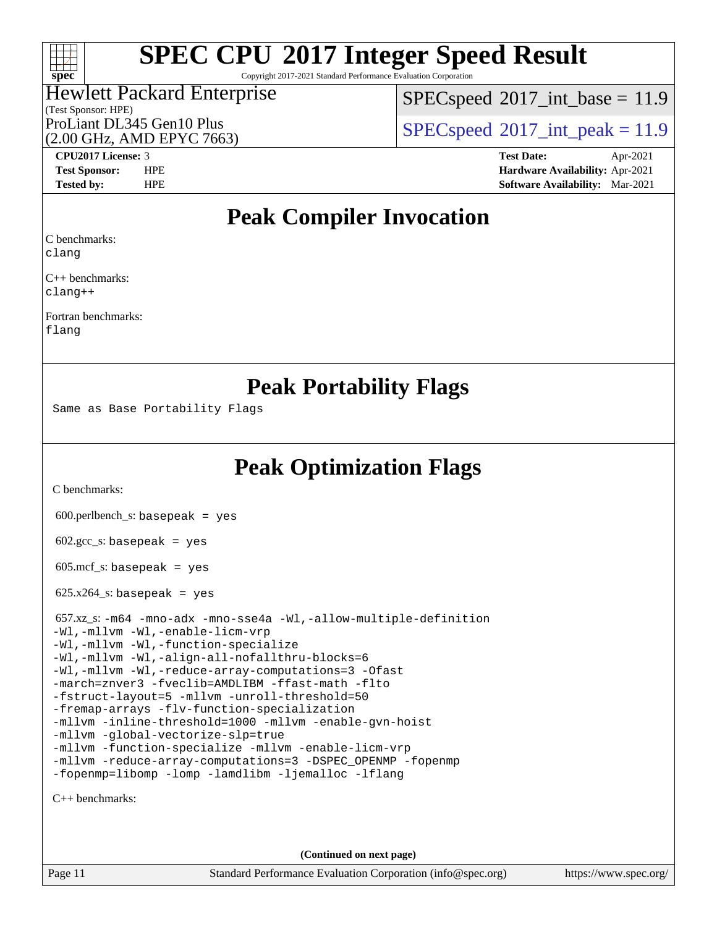

Copyright 2017-2021 Standard Performance Evaluation Corporation

#### (Test Sponsor: HPE) Hewlett Packard Enterprise (2.00 GHz, AMD EPYC 7663)

 $SPECspeed^{\circ}2017\_int\_base = 11.9$  $SPECspeed^{\circ}2017\_int\_base = 11.9$ 

ProLiant DL345 Gen10 Plus  $\vert$  [SPECspeed](http://www.spec.org/auto/cpu2017/Docs/result-fields.html#SPECspeed2017intpeak)®[2017\\_int\\_peak = 1](http://www.spec.org/auto/cpu2017/Docs/result-fields.html#SPECspeed2017intpeak)1.9

**[CPU2017 License:](http://www.spec.org/auto/cpu2017/Docs/result-fields.html#CPU2017License)** 3 **[Test Date:](http://www.spec.org/auto/cpu2017/Docs/result-fields.html#TestDate)** Apr-2021 **[Test Sponsor:](http://www.spec.org/auto/cpu2017/Docs/result-fields.html#TestSponsor)** HPE **[Hardware Availability:](http://www.spec.org/auto/cpu2017/Docs/result-fields.html#HardwareAvailability)** Apr-2021 **[Tested by:](http://www.spec.org/auto/cpu2017/Docs/result-fields.html#Testedby)** HPE **[Software Availability:](http://www.spec.org/auto/cpu2017/Docs/result-fields.html#SoftwareAvailability)** Mar-2021

## **[Peak Compiler Invocation](http://www.spec.org/auto/cpu2017/Docs/result-fields.html#PeakCompilerInvocation)**

[C benchmarks](http://www.spec.org/auto/cpu2017/Docs/result-fields.html#Cbenchmarks):

[clang](http://www.spec.org/cpu2017/results/res2021q2/cpu2017-20210524-26404.flags.html#user_CCpeak_clang-c)

[C++ benchmarks:](http://www.spec.org/auto/cpu2017/Docs/result-fields.html#CXXbenchmarks) [clang++](http://www.spec.org/cpu2017/results/res2021q2/cpu2017-20210524-26404.flags.html#user_CXXpeak_clang-cpp)

[Fortran benchmarks](http://www.spec.org/auto/cpu2017/Docs/result-fields.html#Fortranbenchmarks): [flang](http://www.spec.org/cpu2017/results/res2021q2/cpu2017-20210524-26404.flags.html#user_FCpeak_flang)

## **[Peak Portability Flags](http://www.spec.org/auto/cpu2017/Docs/result-fields.html#PeakPortabilityFlags)**

Same as Base Portability Flags

**[Peak Optimization Flags](http://www.spec.org/auto/cpu2017/Docs/result-fields.html#PeakOptimizationFlags)**

[C benchmarks](http://www.spec.org/auto/cpu2017/Docs/result-fields.html#Cbenchmarks):

600.perlbench\_s: basepeak = yes

 $602.\text{gcc}\_\text{s}:$  basepeak = yes

 $605.\text{mcf}\text{ s:}$  basepeak = yes

 $625.x264_s$ : basepeak = yes

| 657.xz_s:-m64 -mno-adx -mno-sse4a -Wl,-allow-multiple-definition |
|------------------------------------------------------------------|
| -Wl,-mllvm -Wl,-enable-licm-vrp                                  |
| -Wl,-mllvm -Wl,-function-specialize                              |
| -Wl,-mllym -Wl,-align-all-nofallthru-blocks=6                    |
| -Wl,-mllvm -Wl,-reduce-array-computations=3 -Ofast               |
| -march=znver3 -fveclib=AMDLIBM -ffast-math -flto                 |
| -fstruct-layout=5 -mllym -unroll-threshold=50                    |
| -fremap-arrays -flv-function-specialization                      |
| -mllvm -inline-threshold=1000 -mllvm -enable-qvn-hoist           |
| -mllvm -qlobal-vectorize-slp=true                                |
| -mllvm -function-specialize -mllvm -enable-licm-vrp              |
| -mllvm -reduce-array-computations=3 -DSPEC_OPENMP -fopenmp       |
| -fopenmp=libomp -lomp -lamdlibm -ljemalloc -lflang               |

[C++ benchmarks:](http://www.spec.org/auto/cpu2017/Docs/result-fields.html#CXXbenchmarks)

**(Continued on next page)**